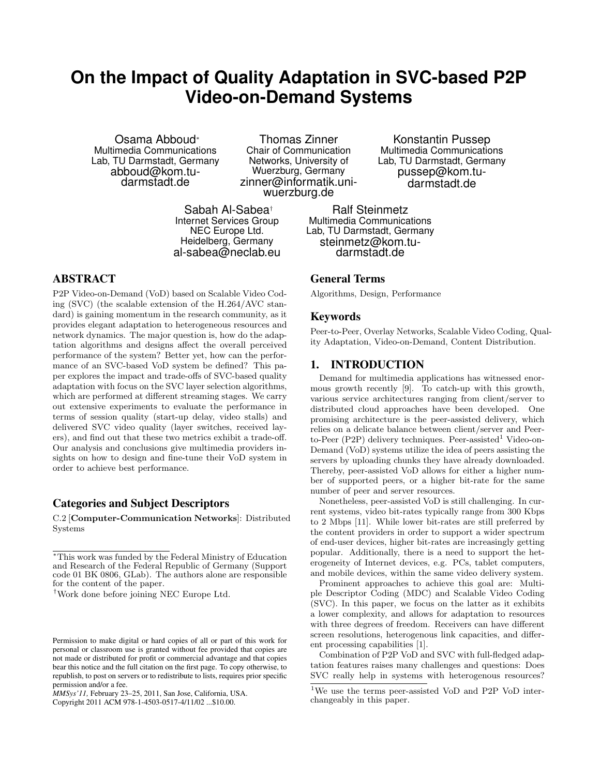# **On the Impact of Quality Adaptation in SVC-based P2P Video-on-Demand Systems**

Osama Abboud<sup>∗</sup> Multimedia Communications Lab, TU Darmstadt, Germany abboud@kom.tudarmstadt.de

Thomas Zinner Chair of Communication Networks, University of Wuerzburg, Germany zinner@informatik.uniwuerzburg.de

Sabah Al-Sabea† Internet Services Group NEC Europe Ltd. Heidelberg, Germany al-sabea@neclab.eu

ABSTRACT

P2P Video-on-Demand (VoD) based on Scalable Video Coding (SVC) (the scalable extension of the H.264/AVC standard) is gaining momentum in the research community, as it provides elegant adaptation to heterogeneous resources and network dynamics. The major question is, how do the adaptation algorithms and designs affect the overall perceived performance of the system? Better yet, how can the performance of an SVC-based VoD system be defined? This paper explores the impact and trade-offs of SVC-based quality adaptation with focus on the SVC layer selection algorithms, which are performed at different streaming stages. We carry out extensive experiments to evaluate the performance in terms of session quality (start-up delay, video stalls) and delivered SVC video quality (layer switches, received layers), and find out that these two metrics exhibit a trade-off. Our analysis and conclusions give multimedia providers insights on how to design and fine-tune their VoD system in order to achieve best performance.

# Categories and Subject Descriptors

C.2 [Computer-Communication Networks]: Distributed Systems

Copyright 2011 ACM 978-1-4503-0517-4/11/02 ...\$10.00.

Konstantin Pussep Multimedia Communications Lab, TU Darmstadt, Germany pussep@kom.tudarmstadt.de

Ralf Steinmetz Multimedia Communications Lab, TU Darmstadt, Germany steinmetz@kom.tudarmstadt.de

# General Terms

Algorithms, Design, Performance

#### Keywords

Peer-to-Peer, Overlay Networks, Scalable Video Coding, Quality Adaptation, Video-on-Demand, Content Distribution.

# 1. INTRODUCTION

Demand for multimedia applications has witnessed enormous growth recently [9]. To catch-up with this growth, various service architectures ranging from client/server to distributed cloud approaches have been developed. One promising architecture is the peer-assisted delivery, which relies on a delicate balance between client/server and Peerto-Peer  $(P2P)$  delivery techniques. Peer-assisted<sup>1</sup> Video-on-Demand (VoD) systems utilize the idea of peers assisting the servers by uploading chunks they have already downloaded. Thereby, peer-assisted VoD allows for either a higher number of supported peers, or a higher bit-rate for the same number of peer and server resources.

Nonetheless, peer-assisted VoD is still challenging. In current systems, video bit-rates typically range from 300 Kbps to 2 Mbps [11]. While lower bit-rates are still preferred by the content providers in order to support a wider spectrum of end-user devices, higher bit-rates are increasingly getting popular. Additionally, there is a need to support the heterogeneity of Internet devices, e.g. PCs, tablet computers, and mobile devices, within the same video delivery system.

Prominent approaches to achieve this goal are: Multiple Descriptor Coding (MDC) and Scalable Video Coding (SVC). In this paper, we focus on the latter as it exhibits a lower complexity, and allows for adaptation to resources with three degrees of freedom. Receivers can have different screen resolutions, heterogenous link capacities, and different processing capabilities [1].

Combination of P2P VoD and SVC with full-fledged adaptation features raises many challenges and questions: Does SVC really help in systems with heterogenous resources?

<sup>∗</sup>This work was funded by the Federal Ministry of Education and Research of the Federal Republic of Germany (Support code 01 BK 0806, GLab). The authors alone are responsible for the content of the paper.

<sup>†</sup>Work done before joining NEC Europe Ltd.

Permission to make digital or hard copies of all or part of this work for personal or classroom use is granted without fee provided that copies are not made or distributed for profit or commercial advantage and that copies bear this notice and the full citation on the first page. To copy otherwise, to republish, to post on servers or to redistribute to lists, requires prior specific permission and/or a fee.

*MMSys'11,* February 23–25, 2011, San Jose, California, USA.

 $\frac{1}{1}$ We use the terms peer-assisted VoD and P2P VoD interchangeably in this paper.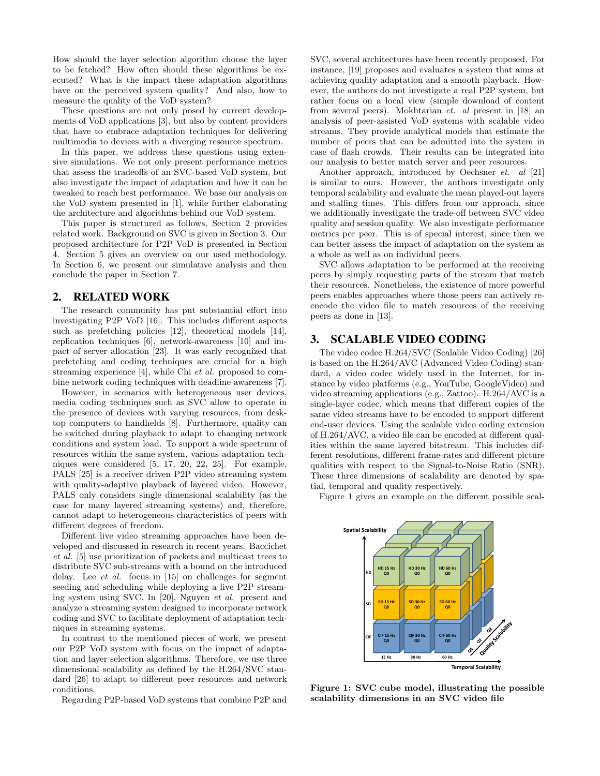How should the layer selection algorithm choose the layer to be fetched? How often should these algorithms be executed? What is the impact these adaptation algorithms have on the perceived system quality? And also, how to measure the quality of the VoD system?

These questions are not only posed by current developments of VoD applications [3], but also by content providers that have to embrace adaptation techniques for delivering multimedia to devices with a diverging resource spectrum.

In this paper, we address these questions using extensive simulations. We not only present performance metrics that assess the tradeoffs of an SVC-based VoD system, but also investigate the impact of adaptation and how it can be tweaked to reach best performance. We base our analysis on the VoD system presented in [1], while further elaborating the architecture and algorithms behind our VoD system.

This paper is structured as follows, Section 2 provides related work. Background on SVC is given in Section 3. Our proposed architecture for P2P VoD is presented in Section 4. Section 5 gives an overview on our used methodology. In Section 6, we present our simulative analysis and then conclude the paper in Section 7.

#### 2. RELATED WORK

The research community has put substantial effort into investigating P2P VoD [16]. This includes different aspects such as prefetching policies [12], theoretical models [14], replication techniques [6], network-awareness [10] and impact of server allocation [23]. It was early recognized that prefetching and coding techniques are crucial for a high streaming experience [4], while Chi et al. proposed to combine network coding techniques with deadline awareness [7].

However, in scenarios with heterogeneous user devices, media coding techniques such as SVC allow to operate in the presence of devices with varying resources, from desktop computers to handhelds [8]. Furthermore, quality can be switched during playback to adapt to changing network conditions and system load. To support a wide spectrum of resources within the same system, various adaptation techniques were considered [5, 17, 20, 22, 25]. For example, PALS [25] is a receiver driven P2P video streaming system with quality-adaptive playback of layered video. However, PALS only considers single dimensional scalability (as the case for many layered streaming systems) and, therefore, cannot adapt to heterogeneous characteristics of peers with different degrees of freedom.

Different live video streaming approaches have been developed and discussed in research in recent years. Baccichet et al. [5] use prioritization of packets and multicast trees to distribute SVC sub-streams with a bound on the introduced delay. Lee et al. focus in [15] on challenges for segment seeding and scheduling while deploying a live P2P streaming system using SVC. In [20], Nguyen et al. present and analyze a streaming system designed to incorporate network coding and SVC to facilitate deployment of adaptation techniques in streaming systems.

In contrast to the mentioned pieces of work, we present our P2P VoD system with focus on the impact of adaptation and layer selection algorithms. Therefore, we use three dimensional scalability as defined by the H.264/SVC standard [26] to adapt to different peer resources and network conditions.

Regarding P2P-based VoD systems that combine P2P and

SVC, several architectures have been recently proposed. For instance, [19] proposes and evaluates a system that aims at achieving quality adaptation and a smooth playback. However, the authors do not investigate a real P2P system, but rather focus on a local view (simple download of content from several peers). Mokhtarian et. al present in [18] an analysis of peer-assisted VoD systems with scalable video streams. They provide analytical models that estimate the number of peers that can be admitted into the system in case of flash crowds. Their results can be integrated into our analysis to better match server and peer resources.

Another approach, introduced by Oechsner *et. al* [21] is similar to ours. However, the authors investigate only temporal scalability and evaluate the mean played-out layers and stalling times. This differs from our approach, since we additionally investigate the trade-off between SVC video quality and session quality. We also investigate performance metrics per peer. This is of special interest, since then we can better assess the impact of adaptation on the system as a whole as well as on individual peers.

SVC allows adaptation to be performed at the receiving peers by simply requesting parts of the stream that match their resources. Nonetheless, the existence of more powerful peers enables approaches where those peers can actively reencode the video file to match resources of the receiving peers as done in [13].

# 3. SCALABLE VIDEO CODING

The video codec H.264/SVC (Scalable Video Coding) [26] is based on the H.264/AVC (Advanced Video Coding) standard, a video codec widely used in the Internet, for instance by video platforms (e.g., YouTube, GoogleVideo) and video streaming applications (e.g., Zattoo). H.264/AVC is a single-layer codec, which means that different copies of the same video streams have to be encoded to support different end-user devices. Using the scalable video coding extension of H.264/AVC, a video file can be encoded at different qualities within the same layered bitstream. This includes different resolutions, different frame-rates and different picture qualities with respect to the Signal-to-Noise Ratio (SNR). These three dimensions of scalability are denoted by spatial, temporal and quality respectively.

Figure 1 gives an example on the different possible scal-



Figure 1: SVC cube model, illustrating the possible scalability dimensions in an SVC video file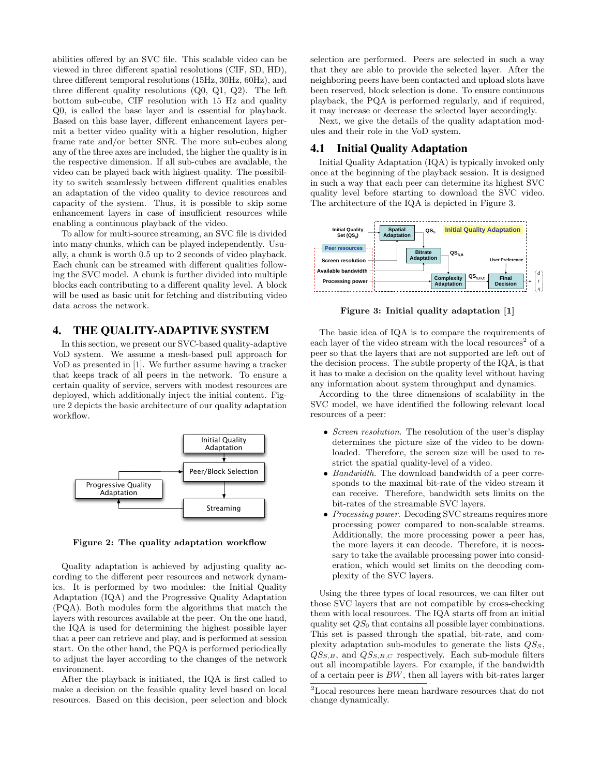abilities offered by an SVC file. This scalable video can be viewed in three different spatial resolutions (CIF, SD, HD), three different temporal resolutions (15Hz, 30Hz, 60Hz), and three different quality resolutions (Q0, Q1, Q2). The left bottom sub-cube, CIF resolution with 15 Hz and quality Q0, is called the base layer and is essential for playback. Based on this base layer, different enhancement layers permit a better video quality with a higher resolution, higher frame rate and/or better SNR. The more sub-cubes along any of the three axes are included, the higher the quality is in the respective dimension. If all sub-cubes are available, the video can be played back with highest quality. The possibility to switch seamlessly between different qualities enables an adaptation of the video quality to device resources and capacity of the system. Thus, it is possible to skip some enhancement layers in case of insufficient resources while enabling a continuous playback of the video.

To allow for multi-source streaming, an SVC file is divided into many chunks, which can be played independently. Usually, a chunk is worth 0.5 up to 2 seconds of video playback. Each chunk can be streamed with different qualities following the SVC model. A chunk is further divided into multiple blocks each contributing to a different quality level. A block will be used as basic unit for fetching and distributing video data across the network.

# 4. THE QUALITY-ADAPTIVE SYSTEM

In this section, we present our SVC-based quality-adaptive VoD system. We assume a mesh-based pull approach for VoD as presented in [1]. We further assume having a tracker that keeps track of all peers in the network. To ensure a certain quality of service, servers with modest resources are deployed, which additionally inject the initial content. Figure 2 depicts the basic architecture of our quality adaptation workflow.



Figure 2: The quality adaptation workflow

Quality adaptation is achieved by adjusting quality according to the different peer resources and network dynamics. It is performed by two modules: the Initial Quality Adaptation (IQA) and the Progressive Quality Adaptation (PQA). Both modules form the algorithms that match the layers with resources available at the peer. On the one hand, the IQA is used for determining the highest possible layer that a peer can retrieve and play, and is performed at session start. On the other hand, the PQA is performed periodically to adjust the layer according to the changes of the network environment.

After the playback is initiated, the IQA is first called to make a decision on the feasible quality level based on local resources. Based on this decision, peer selection and block selection are performed. Peers are selected in such a way that they are able to provide the selected layer. After the neighboring peers have been contacted and upload slots have been reserved, block selection is done. To ensure continuous playback, the PQA is performed regularly, and if required, it may increase or decrease the selected layer accordingly.

Next, we give the details of the quality adaptation modules and their role in the VoD system.

#### 4.1 Initial Quality Adaptation

Initial Quality Adaptation (IQA) is typically invoked only once at the beginning of the playback session. It is designed in such a way that each peer can determine its highest SVC quality level before starting to download the SVC video. The architecture of the IQA is depicted in Figure 3.



Figure 3: Initial quality adaptation [1]

The basic idea of IQA is to compare the requirements of each layer of the video stream with the local resources<sup>2</sup> of a peer so that the layers that are not supported are left out of the decision process. The subtle property of the IQA, is that it has to make a decision on the quality level without having any information about system throughput and dynamics.

According to the three dimensions of scalability in the SVC model, we have identified the following relevant local resources of a peer:

- Screen resolution. The resolution of the user's display determines the picture size of the video to be downloaded. Therefore, the screen size will be used to restrict the spatial quality-level of a video.
- Bandwidth. The download bandwidth of a peer corresponds to the maximal bit-rate of the video stream it can receive. Therefore, bandwidth sets limits on the bit-rates of the streamable SVC layers.
- Processing power. Decoding SVC streams requires more processing power compared to non-scalable streams. Additionally, the more processing power a peer has, the more layers it can decode. Therefore, it is necessary to take the available processing power into consideration, which would set limits on the decoding complexity of the SVC layers.

Using the three types of local resources, we can filter out those SVC layers that are not compatible by cross-checking them with local resources. The IQA starts off from an initial quality set  $QS_0$  that contains all possible layer combinations. This set is passed through the spatial, bit-rate, and complexity adaptation sub-modules to generate the lists  $\mathcal{Q}S_S$ ,  $QS_{S,B}$ , and  $QS_{S,B,C}$  respectively. Each sub-module filters out all incompatible layers. For example, if the bandwidth of a certain peer is  $BW$ , then all layers with bit-rates larger

 $^{2}$  Local resources here mean hardware resources that do not change dynamically.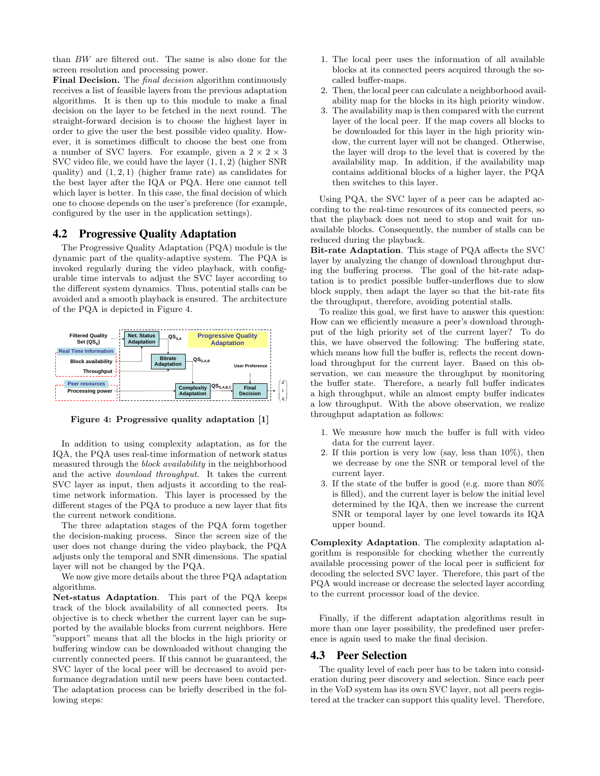than BW are filtered out. The same is also done for the screen resolution and processing power.

Final Decision. The *final decision* algorithm continuously receives a list of feasible layers from the previous adaptation algorithms. It is then up to this module to make a final decision on the layer to be fetched in the next round. The straight-forward decision is to choose the highest layer in order to give the user the best possible video quality. However, it is sometimes difficult to choose the best one from a number of SVC layers. For example, given a  $2 \times 2 \times 3$ SVC video file, we could have the layer (1, 1, 2) (higher SNR quality) and  $(1, 2, 1)$  (higher frame rate) as candidates for the best layer after the IQA or PQA. Here one cannot tell which layer is better. In this case, the final decision of which one to choose depends on the user's preference (for example, configured by the user in the application settings).

#### 4.2 Progressive Quality Adaptation

The Progressive Quality Adaptation (PQA) module is the dynamic part of the quality-adaptive system. The PQA is invoked regularly during the video playback, with configurable time intervals to adjust the SVC layer according to the different system dynamics. Thus, potential stalls can be avoided and a smooth playback is ensured. The architecture of the PQA is depicted in Figure 4.



Figure 4: Progressive quality adaptation [1]

In addition to using complexity adaptation, as for the IQA, the PQA uses real-time information of network status measured through the block availability in the neighborhood and the active download throughput. It takes the current SVC layer as input, then adjusts it according to the realtime network information. This layer is processed by the different stages of the PQA to produce a new layer that fits the current network conditions.

The three adaptation stages of the PQA form together the decision-making process. Since the screen size of the user does not change during the video playback, the PQA adjusts only the temporal and SNR dimensions. The spatial layer will not be changed by the PQA.

We now give more details about the three PQA adaptation algorithms.

Net-status Adaptation. This part of the PQA keeps track of the block availability of all connected peers. Its objective is to check whether the current layer can be supported by the available blocks from current neighbors. Here "support" means that all the blocks in the high priority or buffering window can be downloaded without changing the currently connected peers. If this cannot be guaranteed, the SVC layer of the local peer will be decreased to avoid performance degradation until new peers have been contacted. The adaptation process can be briefly described in the following steps:

- 1. The local peer uses the information of all available blocks at its connected peers acquired through the socalled buffer-maps.
- 2. Then, the local peer can calculate a neighborhood availability map for the blocks in its high priority window.
- 3. The availability map is then compared with the current layer of the local peer. If the map covers all blocks to be downloaded for this layer in the high priority window, the current layer will not be changed. Otherwise, the layer will drop to the level that is covered by the availability map. In addition, if the availability map contains additional blocks of a higher layer, the PQA then switches to this layer.

Using PQA, the SVC layer of a peer can be adapted according to the real-time resources of its connected peers, so that the playback does not need to stop and wait for unavailable blocks. Consequently, the number of stalls can be reduced during the playback.

Bit-rate Adaptation. This stage of PQA affects the SVC layer by analyzing the change of download throughput during the buffering process. The goal of the bit-rate adaptation is to predict possible buffer-underflows due to slow block supply, then adapt the layer so that the bit-rate fits the throughput, therefore, avoiding potential stalls.

To realize this goal, we first have to answer this question: How can we efficiently measure a peer's download throughput of the high priority set of the current layer? To do this, we have observed the following: The buffering state, which means how full the buffer is, reflects the recent download throughput for the current layer. Based on this observation, we can measure the throughput by monitoring the buffer state. Therefore, a nearly full buffer indicates a high throughput, while an almost empty buffer indicates a low throughput. With the above observation, we realize throughput adaptation as follows:

- 1. We measure how much the buffer is full with video data for the current layer.
- 2. If this portion is very low (say, less than  $10\%$ ), then we decrease by one the SNR or temporal level of the current layer.
- 3. If the state of the buffer is good (e.g. more than 80% is filled), and the current layer is below the initial level determined by the IQA, then we increase the current SNR or temporal layer by one level towards its IQA upper bound.

Complexity Adaptation. The complexity adaptation algorithm is responsible for checking whether the currently available processing power of the local peer is sufficient for decoding the selected SVC layer. Therefore, this part of the PQA would increase or decrease the selected layer according to the current processor load of the device.

Finally, if the different adaptation algorithms result in more than one layer possibility, the predefined user preference is again used to make the final decision.

#### 4.3 Peer Selection

The quality level of each peer has to be taken into consideration during peer discovery and selection. Since each peer in the VoD system has its own SVC layer, not all peers registered at the tracker can support this quality level. Therefore,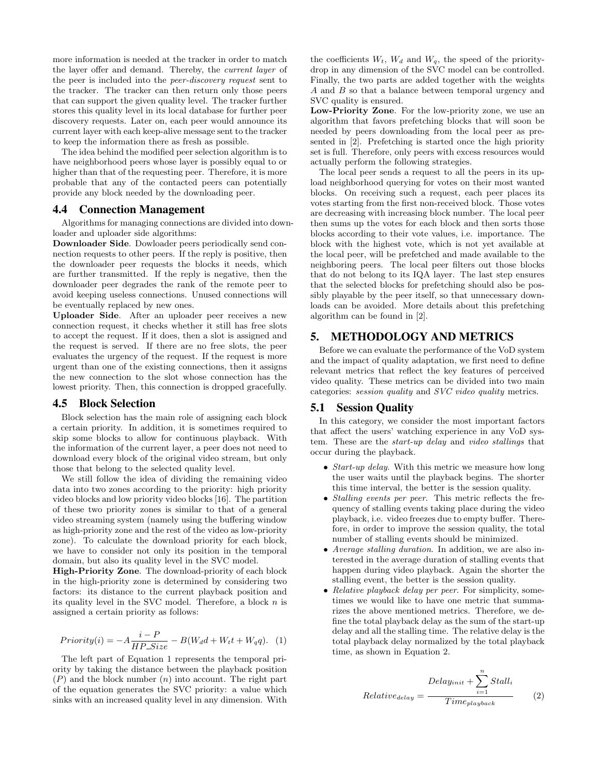more information is needed at the tracker in order to match the layer offer and demand. Thereby, the current layer of the peer is included into the peer-discovery request sent to the tracker. The tracker can then return only those peers that can support the given quality level. The tracker further stores this quality level in its local database for further peer discovery requests. Later on, each peer would announce its current layer with each keep-alive message sent to the tracker to keep the information there as fresh as possible.

The idea behind the modified peer selection algorithm is to have neighborhood peers whose layer is possibly equal to or higher than that of the requesting peer. Therefore, it is more probable that any of the contacted peers can potentially provide any block needed by the downloading peer.

#### 4.4 Connection Management

Algorithms for managing connections are divided into downloader and uploader side algorithms:

Downloader Side. Dowloader peers periodically send connection requests to other peers. If the reply is positive, then the downloader peer requests the blocks it needs, which are further transmitted. If the reply is negative, then the downloader peer degrades the rank of the remote peer to avoid keeping useless connections. Unused connections will be eventually replaced by new ones.

Uploader Side. After an uploader peer receives a new connection request, it checks whether it still has free slots to accept the request. If it does, then a slot is assigned and the request is served. If there are no free slots, the peer evaluates the urgency of the request. If the request is more urgent than one of the existing connections, then it assigns the new connection to the slot whose connection has the lowest priority. Then, this connection is dropped gracefully.

#### 4.5 Block Selection

Block selection has the main role of assigning each block a certain priority. In addition, it is sometimes required to skip some blocks to allow for continuous playback. With the information of the current layer, a peer does not need to download every block of the original video stream, but only those that belong to the selected quality level.

We still follow the idea of dividing the remaining video data into two zones according to the priority: high priority video blocks and low priority video blocks [16]. The partition of these two priority zones is similar to that of a general video streaming system (namely using the buffering window as high-priority zone and the rest of the video as low-priority zone). To calculate the download priority for each block, we have to consider not only its position in the temporal domain, but also its quality level in the SVC model.

High-Priority Zone. The download-priority of each block in the high-priority zone is determined by considering two factors: its distance to the current playback position and its quality level in the SVC model. Therefore, a block  $n$  is assigned a certain priority as follows:

$$
Priority(i) = -A \frac{i - P}{HP\_Size} - B(W_d d + W_t t + W_q q). \tag{1}
$$

The left part of Equation 1 represents the temporal priority by taking the distance between the playback position  $(P)$  and the block number  $(n)$  into account. The right part of the equation generates the SVC priority: a value which sinks with an increased quality level in any dimension. With the coefficients  $W_t$ ,  $W_d$  and  $W_q$ , the speed of the prioritydrop in any dimension of the SVC model can be controlled. Finally, the two parts are added together with the weights A and B so that a balance between temporal urgency and SVC quality is ensured.

Low-Priority Zone. For the low-priority zone, we use an algorithm that favors prefetching blocks that will soon be needed by peers downloading from the local peer as presented in [2]. Prefetching is started once the high priority set is full. Therefore, only peers with excess resources would actually perform the following strategies.

The local peer sends a request to all the peers in its upload neighborhood querying for votes on their most wanted blocks. On receiving such a request, each peer places its votes starting from the first non-received block. Those votes are decreasing with increasing block number. The local peer then sums up the votes for each block and then sorts those blocks according to their vote values, i.e. importance. The block with the highest vote, which is not yet available at the local peer, will be prefetched and made available to the neighboring peers. The local peer filters out those blocks that do not belong to its IQA layer. The last step ensures that the selected blocks for prefetching should also be possibly playable by the peer itself, so that unnecessary downloads can be avoided. More details about this prefetching algorithm can be found in [2].

## 5. METHODOLOGY AND METRICS

Before we can evaluate the performance of the VoD system and the impact of quality adaptation, we first need to define relevant metrics that reflect the key features of perceived video quality. These metrics can be divided into two main categories: session quality and SVC video quality metrics.

#### 5.1 Session Quality

In this category, we consider the most important factors that affect the users' watching experience in any VoD system. These are the start-up delay and video stallings that occur during the playback.

- *Start-up delay*. With this metric we measure how long the user waits until the playback begins. The shorter this time interval, the better is the session quality.
- *Stalling events per peer.* This metric reflects the frequency of stalling events taking place during the video playback, i.e. video freezes due to empty buffer. Therefore, in order to improve the session quality, the total number of stalling events should be minimized.
- Average stalling duration. In addition, we are also interested in the average duration of stalling events that happen during video playback. Again the shorter the stalling event, the better is the session quality.
- Relative playback delay per peer. For simplicity, sometimes we would like to have one metric that summarizes the above mentioned metrics. Therefore, we define the total playback delay as the sum of the start-up delay and all the stalling time. The relative delay is the total playback delay normalized by the total playback time, as shown in Equation 2.

$$
Relative_{delay} = \frac{Delay_{init} + \sum_{i=1}^{n} Stall_i}{Time_{playback}}
$$
 (2)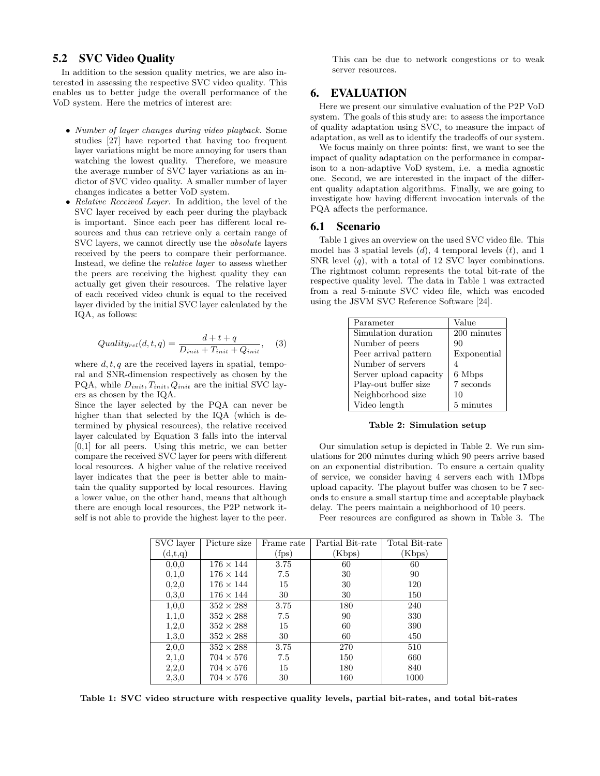## 5.2 SVC Video Quality

In addition to the session quality metrics, we are also interested in assessing the respective SVC video quality. This enables us to better judge the overall performance of the VoD system. Here the metrics of interest are:

- Number of layer changes during video playback. Some studies [27] have reported that having too frequent layer variations might be more annoying for users than watching the lowest quality. Therefore, we measure the average number of SVC layer variations as an indictor of SVC video quality. A smaller number of layer changes indicates a better VoD system.
- Relative Received Layer. In addition, the level of the SVC layer received by each peer during the playback is important. Since each peer has different local resources and thus can retrieve only a certain range of SVC layers, we cannot directly use the absolute layers received by the peers to compare their performance. Instead, we define the relative layer to assess whether the peers are receiving the highest quality they can actually get given their resources. The relative layer of each received video chunk is equal to the received layer divided by the initial SVC layer calculated by the IQA, as follows:

$$
Quality_{rel}(d, t, q) = \frac{d+t+q}{D_{init} + T_{init} + Q_{init}}, \quad (3)
$$

where  $d, t, q$  are the received layers in spatial, temporal and SNR-dimension respectively as chosen by the PQA, while  $D_{init}, T_{init}, Q_{init}$  are the initial SVC layers as chosen by the IQA.

Since the layer selected by the PQA can never be higher than that selected by the IQA (which is determined by physical resources), the relative received layer calculated by Equation 3 falls into the interval [0,1] for all peers. Using this metric, we can better compare the received SVC layer for peers with different local resources. A higher value of the relative received layer indicates that the peer is better able to maintain the quality supported by local resources. Having a lower value, on the other hand, means that although there are enough local resources, the P2P network itself is not able to provide the highest layer to the peer.

This can be due to network congestions or to weak server resources.

#### 6. EVALUATION

Here we present our simulative evaluation of the P2P VoD system. The goals of this study are: to assess the importance of quality adaptation using SVC, to measure the impact of adaptation, as well as to identify the tradeoffs of our system.

We focus mainly on three points: first, we want to see the impact of quality adaptation on the performance in comparison to a non-adaptive VoD system, i.e. a media agnostic one. Second, we are interested in the impact of the different quality adaptation algorithms. Finally, we are going to investigate how having different invocation intervals of the PQA affects the performance.

#### 6.1 Scenario

Table 1 gives an overview on the used SVC video file. This model has 3 spatial levels  $(d)$ , 4 temporal levels  $(t)$ , and 1 SNR level  $(q)$ , with a total of 12 SVC layer combinations. The rightmost column represents the total bit-rate of the respective quality level. The data in Table 1 was extracted from a real 5-minute SVC video file, which was encoded using the JSVM SVC Reference Software [24].

| Parameter              | Value       |
|------------------------|-------------|
| Simulation duration    | 200 minutes |
| Number of peers        | 90          |
| Peer arrival pattern   | Exponential |
| Number of servers      |             |
| Server upload capacity | 6 Mbps      |
| Play-out buffer size   | 7 seconds   |
| Neighborhood size      | 10          |
| Video length           | 5 minutes   |

Table 2: Simulation setup

Our simulation setup is depicted in Table 2. We run simulations for 200 minutes during which 90 peers arrive based on an exponential distribution. To ensure a certain quality of service, we consider having 4 servers each with 1Mbps upload capacity. The playout buffer was chosen to be 7 seconds to ensure a small startup time and acceptable playback delay. The peers maintain a neighborhood of 10 peers.

Peer resources are configured as shown in Table 3. The

| SVC layer | Picture size     | Frame rate     | Partial Bit-rate | Total Bit-rate |
|-----------|------------------|----------------|------------------|----------------|
| (d,t,q)   |                  | $({\rm{fps}})$ | (Kbps)           | (Kbps)         |
| 0, 0, 0   | $176 \times 144$ | 3.75           | 60               | 60             |
| 0,1,0     | $176 \times 144$ | 7.5            | 30               | 90             |
| 0,2,0     | $176 \times 144$ | 15             | 30               | 120            |
| 0,3,0     | $176 \times 144$ | 30             | 30               | 150            |
| 1,0,0     | $352 \times 288$ | 3.75           | 180              | 240            |
| 1,1,0     | $352 \times 288$ | 7.5            | 90               | 330            |
| 1,2,0     | $352 \times 288$ | 15             | 60               | 390            |
| 1,3,0     | $352 \times 288$ | 30             | 60               | 450            |
| 2,0,0     | $352 \times 288$ | 3.75           | 270              | 510            |
| 2,1,0     | $704 \times 576$ | 7.5            | 150              | 660            |
| 2,2,0     | $704 \times 576$ | 15             | 180              | 840            |
| 2,3,0     | $704 \times 576$ | 30             | 160              | 1000           |

Table 1: SVC video structure with respective quality levels, partial bit-rates, and total bit-rates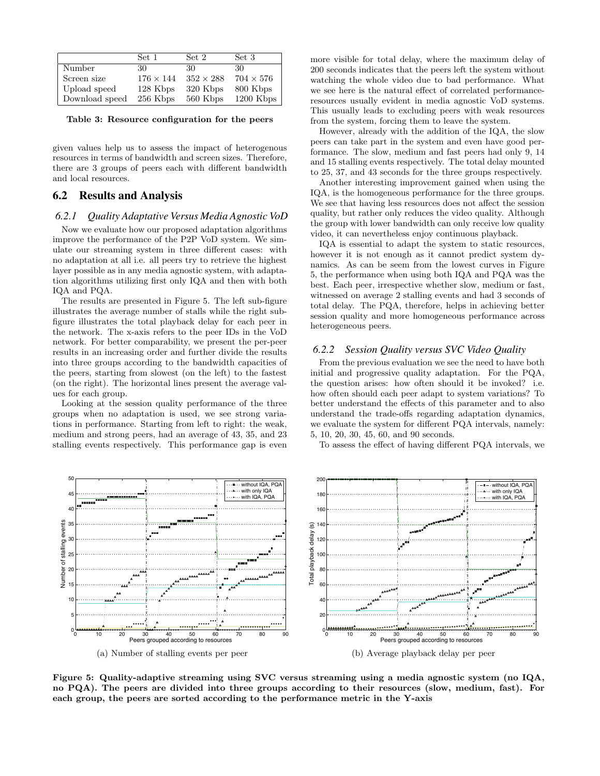|                | Set 1            | Set 2            | Set 3            |
|----------------|------------------|------------------|------------------|
| Number         | 30.              | 30.              | 30               |
| Screen size    | $176 \times 144$ | $352 \times 288$ | $704 \times 576$ |
| Upload speed   | 128 Kbps         | 320 Kbps         | 800 Kbps         |
| Download speed | 256 Kbps         | 560 Kbps         | $1200$ Kbps      |

Table 3: Resource configuration for the peers

given values help us to assess the impact of heterogenous resources in terms of bandwidth and screen sizes. Therefore, there are 3 groups of peers each with different bandwidth and local resources.

#### 6.2 Results and Analysis

#### *6.2.1 Quality Adaptative Versus Media Agnostic VoD*

Now we evaluate how our proposed adaptation algorithms improve the performance of the P2P VoD system. We simulate our streaming system in three different cases: with no adaptation at all i.e. all peers try to retrieve the highest layer possible as in any media agnostic system, with adaptation algorithms utilizing first only IQA and then with both IQA and PQA.

The results are presented in Figure 5. The left sub-figure illustrates the average number of stalls while the right subfigure illustrates the total playback delay for each peer in the network. The x-axis refers to the peer IDs in the VoD network. For better comparability, we present the per-peer results in an increasing order and further divide the results into three groups according to the bandwidth capacities of the peers, starting from slowest (on the left) to the fastest (on the right). The horizontal lines present the average values for each group.

Looking at the session quality performance of the three groups when no adaptation is used, we see strong variations in performance. Starting from left to right: the weak, medium and strong peers, had an average of 43, 35, and 23 stalling events respectively. This performance gap is even more visible for total delay, where the maximum delay of 200 seconds indicates that the peers left the system without watching the whole video due to bad performance. What we see here is the natural effect of correlated performanceresources usually evident in media agnostic VoD systems. This usually leads to excluding peers with weak resources from the system, forcing them to leave the system.

However, already with the addition of the IQA, the slow peers can take part in the system and even have good performance. The slow, medium and fast peers had only 9, 14 and 15 stalling events respectively. The total delay mounted to 25, 37, and 43 seconds for the three groups respectively.

Another interesting improvement gained when using the IQA, is the homogeneous performance for the three groups. We see that having less resources does not affect the session quality, but rather only reduces the video quality. Although the group with lower bandwidth can only receive low quality video, it can nevertheless enjoy continuous playback.

IQA is essential to adapt the system to static resources, however it is not enough as it cannot predict system dynamics. As can be seem from the lowest curves in Figure 5, the performance when using both IQA and PQA was the best. Each peer, irrespective whether slow, medium or fast, witnessed on average 2 stalling events and had 3 seconds of total delay. The PQA, therefore, helps in achieving better session quality and more homogeneous performance across heterogeneous peers.

#### *6.2.2 Session Quality versus SVC Video Quality*

From the previous evaluation we see the need to have both initial and progressive quality adaptation. For the PQA, the question arises: how often should it be invoked? i.e. how often should each peer adapt to system variations? To better understand the effects of this parameter and to also understand the trade-offs regarding adaptation dynamics, we evaluate the system for different PQA intervals, namely: 5, 10, 20, 30, 45, 60, and 90 seconds.

To assess the effect of having different PQA intervals, we



Figure 5: Quality-adaptive streaming using SVC versus streaming using a media agnostic system (no IQA, no PQA). The peers are divided into three groups according to their resources (slow, medium, fast). For each group, the peers are sorted according to the performance metric in the Y-axis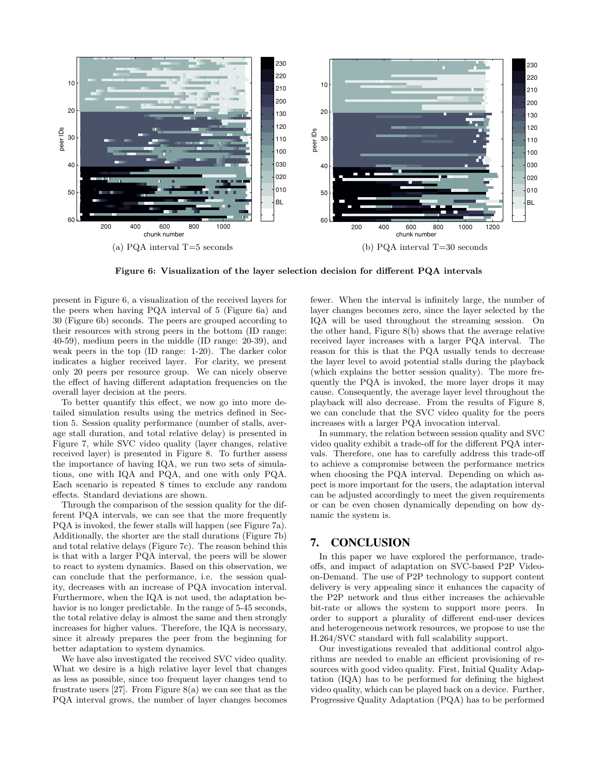

Figure 6: Visualization of the layer selection decision for different PQA intervals

present in Figure 6, a visualization of the received layers for the peers when having PQA interval of 5 (Figure 6a) and 30 (Figure 6b) seconds. The peers are grouped according to their resources with strong peers in the bottom (ID range: 40-59), medium peers in the middle (ID range: 20-39), and weak peers in the top (ID range: 1-20). The darker color indicates a higher received layer. For clarity, we present only 20 peers per resource group. We can nicely observe the effect of having different adaptation frequencies on the overall layer decision at the peers.

To better quantify this effect, we now go into more detailed simulation results using the metrics defined in Section 5. Session quality performance (number of stalls, average stall duration, and total relative delay) is presented in Figure 7, while SVC video quality (layer changes, relative received layer) is presented in Figure 8. To further assess the importance of having IQA, we run two sets of simulations, one with IQA and PQA, and one with only PQA. Each scenario is repeated 8 times to exclude any random effects. Standard deviations are shown.

Through the comparison of the session quality for the different PQA intervals, we can see that the more frequently PQA is invoked, the fewer stalls will happen (see Figure 7a). Additionally, the shorter are the stall durations (Figure 7b) and total relative delays (Figure 7c). The reason behind this is that with a larger PQA interval, the peers will be slower to react to system dynamics. Based on this observation, we can conclude that the performance, i.e. the session quality, decreases with an increase of PQA invocation interval. Furthermore, when the IQA is not used, the adaptation behavior is no longer predictable. In the range of 5-45 seconds, the total relative delay is almost the same and then strongly increases for higher values. Therefore, the IQA is necessary, since it already prepares the peer from the beginning for better adaptation to system dynamics.

We have also investigated the received SVC video quality. What we desire is a high relative layer level that changes as less as possible, since too frequent layer changes tend to frustrate users [27]. From Figure  $8(a)$  we can see that as the PQA interval grows, the number of layer changes becomes fewer. When the interval is infinitely large, the number of layer changes becomes zero, since the layer selected by the IQA will be used throughout the streaming session. On the other hand, Figure 8(b) shows that the average relative received layer increases with a larger PQA interval. The reason for this is that the PQA usually tends to decrease the layer level to avoid potential stalls during the playback (which explains the better session quality). The more frequently the PQA is invoked, the more layer drops it may cause. Consequently, the average layer level throughout the playback will also decrease. From the results of Figure 8, we can conclude that the SVC video quality for the peers increases with a larger PQA invocation interval.

In summary, the relation between session quality and SVC video quality exhibit a trade-off for the different PQA intervals. Therefore, one has to carefully address this trade-off to achieve a compromise between the performance metrics when choosing the PQA interval. Depending on which aspect is more important for the users, the adaptation interval can be adjusted accordingly to meet the given requirements or can be even chosen dynamically depending on how dynamic the system is.

#### 7. CONCLUSION

In this paper we have explored the performance, tradeoffs, and impact of adaptation on SVC-based P2P Videoon-Demand. The use of P2P technology to support content delivery is very appealing since it enhances the capacity of the P2P network and thus either increases the achievable bit-rate or allows the system to support more peers. In order to support a plurality of different end-user devices and heterogeneous network resources, we propose to use the H.264/SVC standard with full scalability support.

Our investigations revealed that additional control algorithms are needed to enable an efficient provisioning of resources with good video quality. First, Initial Quality Adaptation (IQA) has to be performed for defining the highest video quality, which can be played back on a device. Further, Progressive Quality Adaptation (PQA) has to be performed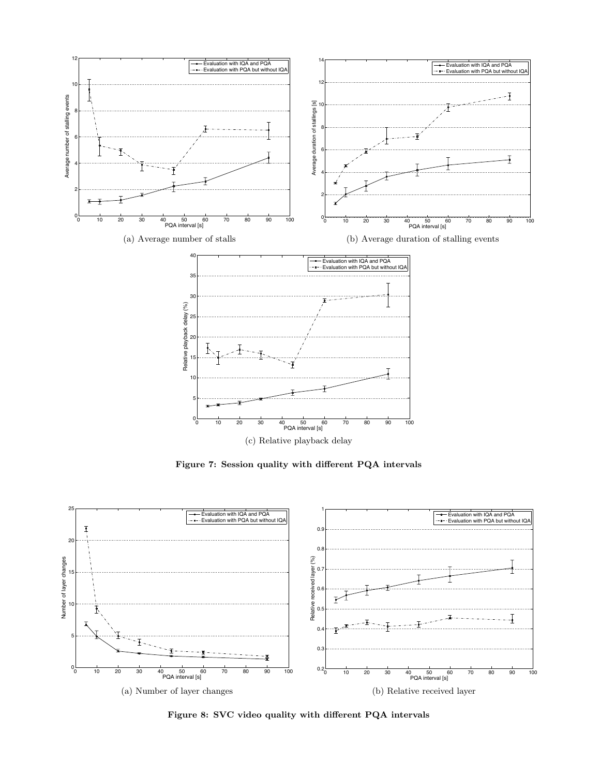

Figure 7: Session quality with different PQA intervals



Figure 8: SVC video quality with different PQA intervals